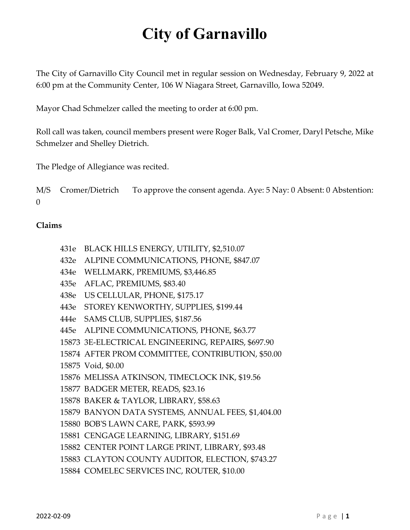The City of Garnavillo City Council met in regular session on Wednesday, February 9, 2022 at 6:00 pm at the Community Center, 106 W Niagara Street, Garnavillo, Iowa 52049.

Mayor Chad Schmelzer called the meeting to order at 6:00 pm.

Roll call was taken, council members present were Roger Balk, Val Cromer, Daryl Petsche, Mike Schmelzer and Shelley Dietrich.

The Pledge of Allegiance was recited.

M/S Cromer/Dietrich To approve the consent agenda. Aye: 5 Nay: 0 Absent: 0 Abstention:  $\theta$ 

#### **Claims**

- 431e BLACK HILLS ENERGY, UTILITY, \$2,510.07
- 432e ALPINE COMMUNICATIONS, PHONE, \$847.07
- 434e WELLMARK, PREMIUMS, \$3,446.85
- 435e AFLAC, PREMIUMS, \$83.40
- 438e US CELLULAR, PHONE, \$175.17
- 443e STOREY KENWORTHY, SUPPLIES, \$199.44
- 444e SAMS CLUB, SUPPLIES, \$187.56
- 445e ALPINE COMMUNICATIONS, PHONE, \$63.77
- 15873 3E-ELECTRICAL ENGINEERING, REPAIRS, \$697.90
- 15874 AFTER PROM COMMITTEE, CONTRIBUTION, \$50.00
- 15875 Void, \$0.00
- 15876 MELISSA ATKINSON, TIMECLOCK INK, \$19.56
- 15877 BADGER METER, READS, \$23.16
- 15878 BAKER & TAYLOR, LIBRARY, \$58.63
- 15879 BANYON DATA SYSTEMS, ANNUAL FEES, \$1,404.00
- 15880 BOB'S LAWN CARE, PARK, \$593.99
- 15881 CENGAGE LEARNING, LIBRARY, \$151.69
- 15882 CENTER POINT LARGE PRINT, LIBRARY, \$93.48
- 15883 CLAYTON COUNTY AUDITOR, ELECTION, \$743.27
- 15884 COMELEC SERVICES INC, ROUTER, \$10.00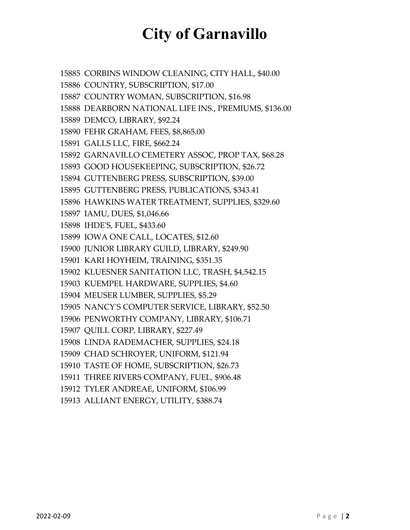CORBINS WINDOW CLEANING, CITY HALL, \$40.00 COUNTRY, SUBSCRIPTION, \$17.00 COUNTRY WOMAN, SUBSCRIPTION, \$16.98 DEARBORN NATIONAL LIFE INS., PREMIUMS, \$136.00 DEMCO, LIBRARY, \$92.24 FEHR GRAHAM, FEES, \$8,865.00 GALLS LLC, FIRE, \$662.24 GARNAVILLO CEMETERY ASSOC, PROP TAX, \$68.28 GOOD HOUSEKEEPING, SUBSCRIPTION, \$26.72 GUTTENBERG PRESS, SUBSCRIPTION, \$39.00 GUTTENBERG PRESS, PUBLICATIONS, \$343.41 HAWKINS WATER TREATMENT, SUPPLIES, \$329.60 IAMU, DUES, \$1,046.66 IHDE'S, FUEL, \$433.60 IOWA ONE CALL, LOCATES, \$12.60 JUNIOR LIBRARY GUILD, LIBRARY, \$249.90 KARI HOYHEIM, TRAINING, \$351.35 KLUESNER SANITATION LLC, TRASH, \$4,542.15 KUEMPEL HARDWARE, SUPPLIES, \$4.60 MEUSER LUMBER, SUPPLIES, \$5.29 NANCY'S COMPUTER SERVICE, LIBRARY, \$52.50 PENWORTHY COMPANY, LIBRARY, \$106.71 QUILL CORP, LIBRARY, \$227.49 LINDA RADEMACHER, SUPPLIES, \$24.18 CHAD SCHROYER, UNIFORM, \$121.94 TASTE OF HOME, SUBSCRIPTION, \$26.73 THREE RIVERS COMPANY, FUEL, \$906.48 TYLER ANDREAE, UNIFORM, \$106.99 ALLIANT ENERGY, UTILITY, \$388.74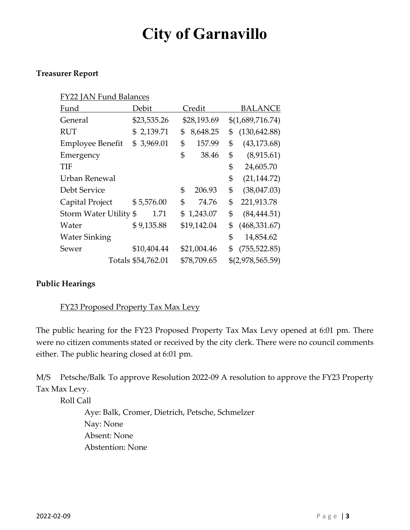### **Treasurer Report**

| <b>FY22 JAN Fund Balances</b> |                    |    |             |    |                  |
|-------------------------------|--------------------|----|-------------|----|------------------|
| Fund                          | Debit              |    | Credit      |    | <b>BALANCE</b>   |
| General                       | \$23,535.26        |    | \$28,193.69 |    | \$(1,689,716.74) |
| <b>RUT</b>                    | \$2,139.71         | \$ | 8,648.25    | \$ | (130, 642.88)    |
| <b>Employee Benefit</b>       | 3,969.01<br>\$     | \$ | 157.99      | \$ | (43, 173.68)     |
| Emergency                     |                    | \$ | 38.46       | \$ | (8,915.61)       |
| TIF                           |                    |    |             | \$ | 24,605.70        |
| Urban Renewal                 |                    |    |             | \$ | (21, 144.72)     |
| Debt Service                  |                    | \$ | 206.93      | \$ | (38,047.03)      |
| Capital Project               | \$5,576.00         | \$ | 74.76       | \$ | 221,913.78       |
| Storm Water Utility \$        | 1.71               | \$ | 1,243.07    | \$ | (84, 444.51)     |
| Water                         | \$9,135.88         |    | \$19,142.04 | \$ | (468, 331.67)    |
| <b>Water Sinking</b>          |                    |    |             | \$ | 14,854.62        |
| Sewer                         | \$10,404.44        |    | \$21,004.46 | \$ | (755, 522.85)    |
|                               | Totals \$54,762.01 |    | \$78,709.65 |    | \$(2,978,565.59) |

## **Public Hearings**

## FY23 Proposed Property Tax Max Levy

The public hearing for the FY23 Proposed Property Tax Max Levy opened at 6:01 pm. There were no citizen comments stated or received by the city clerk. There were no council comments either. The public hearing closed at 6:01 pm.

M/S Petsche/Balk To approve Resolution 2022-09 A resolution to approve the FY23 Property Tax Max Levy.

Roll Call

Aye: Balk, Cromer, Dietrich, Petsche, Schmelzer Nay: None Absent: None Abstention: None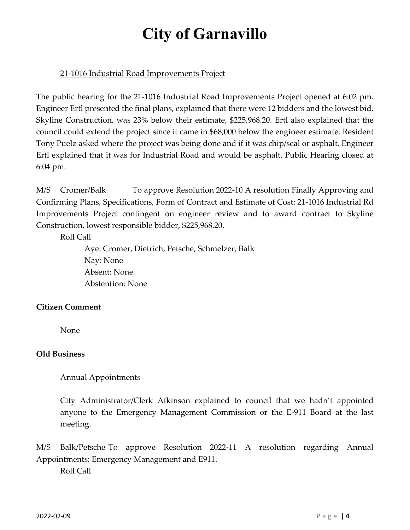## 21-1016 Industrial Road Improvements Project

The public hearing for the 21-1016 Industrial Road Improvements Project opened at 6:02 pm. Engineer Ertl presented the final plans, explained that there were 12 bidders and the lowest bid, Skyline Construction, was 23% below their estimate, \$225,968.20. Ertl also explained that the council could extend the project since it came in \$68,000 below the engineer estimate. Resident Tony Puelz asked where the project was being done and if it was chip/seal or asphalt. Engineer Ertl explained that it was for Industrial Road and would be asphalt. Public Hearing closed at 6:04 pm.

M/S Cromer/Balk To approve Resolution 2022-10 A resolution Finally Approving and Confirming Plans, Specifications, Form of Contract and Estimate of Cost: 21-1016 Industrial Rd Improvements Project contingent on engineer review and to award contract to Skyline Construction, lowest responsible bidder, \$225,968.20.

Roll Call

Aye: Cromer, Dietrich, Petsche, Schmelzer, Balk Nay: None Absent: None Abstention: None

## **Citizen Comment**

None

## **Old Business**

## Annual Appointments

City Administrator/Clerk Atkinson explained to council that we hadn't appointed anyone to the Emergency Management Commission or the E-911 Board at the last meeting.

M/S Balk/Petsche To approve Resolution 2022-11 A resolution regarding Annual Appointments: Emergency Management and E911.

Roll Call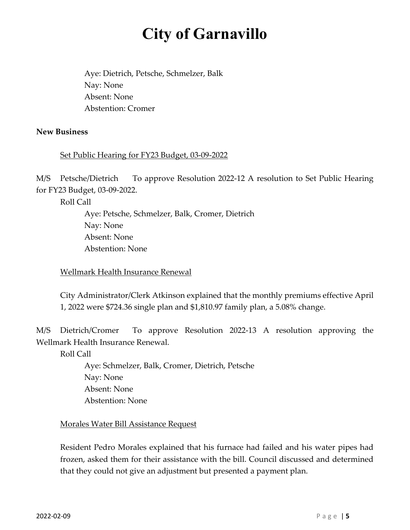Aye: Dietrich, Petsche, Schmelzer, Balk Nay: None Absent: None Abstention: Cromer

#### **New Business**

#### Set Public Hearing for FY23 Budget, 03-09-2022

M/S Petsche/Dietrich To approve Resolution 2022-12 A resolution to Set Public Hearing for FY23 Budget, 03-09-2022.

Roll Call

Aye: Petsche, Schmelzer, Balk, Cromer, Dietrich Nay: None Absent: None Abstention: None

Wellmark Health Insurance Renewal

City Administrator/Clerk Atkinson explained that the monthly premiums effective April 1, 2022 were \$724.36 single plan and \$1,810.97 family plan, a 5.08% change.

M/S Dietrich/Cromer To approve Resolution 2022-13 A resolution approving the Wellmark Health Insurance Renewal.

Roll Call

Aye: Schmelzer, Balk, Cromer, Dietrich, Petsche Nay: None Absent: None Abstention: None

#### Morales Water Bill Assistance Request

Resident Pedro Morales explained that his furnace had failed and his water pipes had frozen, asked them for their assistance with the bill. Council discussed and determined that they could not give an adjustment but presented a payment plan.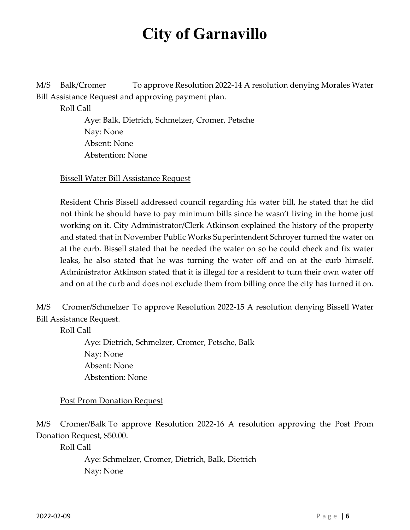M/S Balk/Cromer To approve Resolution 2022-14 A resolution denying Morales Water Bill Assistance Request and approving payment plan.

Roll Call

Aye: Balk, Dietrich, Schmelzer, Cromer, Petsche Nay: None Absent: None Abstention: None

Bissell Water Bill Assistance Request

Resident Chris Bissell addressed council regarding his water bill, he stated that he did not think he should have to pay minimum bills since he wasn't living in the home just working on it. City Administrator/Clerk Atkinson explained the history of the property and stated that in November Public Works Superintendent Schroyer turned the water on at the curb. Bissell stated that he needed the water on so he could check and fix water leaks, he also stated that he was turning the water off and on at the curb himself. Administrator Atkinson stated that it is illegal for a resident to turn their own water off and on at the curb and does not exclude them from billing once the city has turned it on.

M/S Cromer/Schmelzer To approve Resolution 2022-15 A resolution denying Bissell Water Bill Assistance Request.

Roll Call

Aye: Dietrich, Schmelzer, Cromer, Petsche, Balk Nay: None Absent: None Abstention: None

Post Prom Donation Request

M/S Cromer/Balk To approve Resolution 2022-16 A resolution approving the Post Prom Donation Request, \$50.00.

Roll Call

Aye: Schmelzer, Cromer, Dietrich, Balk, Dietrich Nay: None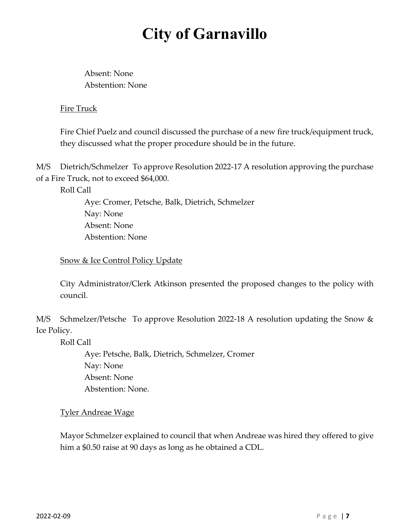Absent: None Abstention: None

## Fire Truck

Fire Chief Puelz and council discussed the purchase of a new fire truck/equipment truck, they discussed what the proper procedure should be in the future.

M/S Dietrich/Schmelzer To approve Resolution 2022-17 A resolution approving the purchase of a Fire Truck, not to exceed \$64,000.

Roll Call

Aye: Cromer, Petsche, Balk, Dietrich, Schmelzer Nay: None Absent: None Abstention: None

Snow & Ice Control Policy Update

City Administrator/Clerk Atkinson presented the proposed changes to the policy with council.

M/S Schmelzer/Petsche To approve Resolution 2022-18 A resolution updating the Snow & Ice Policy.

Roll Call

Aye: Petsche, Balk, Dietrich, Schmelzer, Cromer Nay: None Absent: None Abstention: None.

Tyler Andreae Wage

Mayor Schmelzer explained to council that when Andreae was hired they offered to give him a \$0.50 raise at 90 days as long as he obtained a CDL.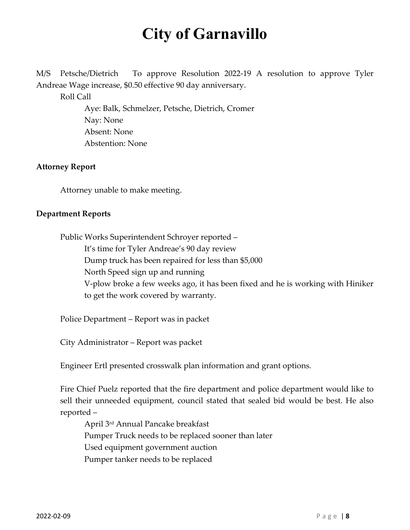M/S Petsche/Dietrich To approve Resolution 2022-19 A resolution to approve Tyler Andreae Wage increase, \$0.50 effective 90 day anniversary.

Roll Call

Aye: Balk, Schmelzer, Petsche, Dietrich, Cromer Nay: None Absent: None Abstention: None

#### **Attorney Report**

Attorney unable to make meeting.

#### **Department Reports**

Public Works Superintendent Schroyer reported – It's time for Tyler Andreae's 90 day review Dump truck has been repaired for less than \$5,000 North Speed sign up and running V-plow broke a few weeks ago, it has been fixed and he is working with Hiniker to get the work covered by warranty.

Police Department – Report was in packet

City Administrator – Report was packet

Engineer Ertl presented crosswalk plan information and grant options.

Fire Chief Puelz reported that the fire department and police department would like to sell their unneeded equipment, council stated that sealed bid would be best. He also reported –

April 3rd Annual Pancake breakfast Pumper Truck needs to be replaced sooner than later Used equipment government auction Pumper tanker needs to be replaced